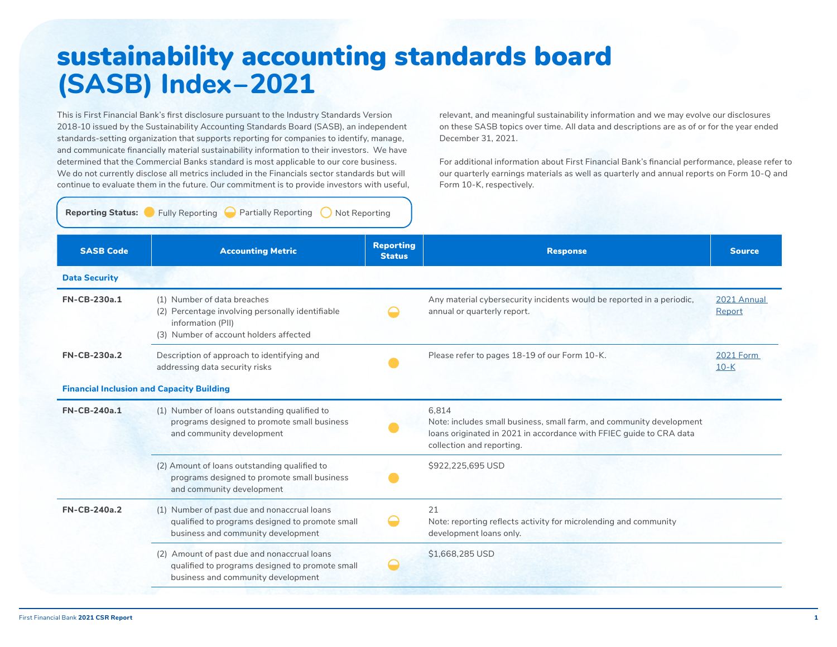## sustainability accounting standards board **(SASB) Index–2021**

This is First Financial Bank's first disclosure pursuant to the Industry Standards Version 2018-10 issued by the Sustainability Accounting Standards Board (SASB), an independent standards-setting organization that supports reporting for companies to identify, manage, and communicate financially material sustainability information to their investors. We have determined that the Commercial Banks standard is most applicable to our core business. We do not currently disclose all metrics included in the Financials sector standards but will continue to evaluate them in the future. Our commitment is to provide investors with useful, relevant, and meaningful sustainability information and we may evolve our disclosures on these SASB topics over time. All data and descriptions are as of or for the year ended December 31, 2021.

For additional information about First Financial Bank's financial performance, please refer to our quarterly earnings materials as well as quarterly and annual reports on Form 10-Q and Form 10-K, respectively.

**Reporting Status:** Fully Reporting Partially Reporting Not Reporting

| <b>SASB Code</b>     | <b>Accounting Metric</b>                                                                                                                       | <b>Reporting</b><br><b>Status</b> | <b>Response</b>                                                                                                                                                                   | <b>Source</b>                |
|----------------------|------------------------------------------------------------------------------------------------------------------------------------------------|-----------------------------------|-----------------------------------------------------------------------------------------------------------------------------------------------------------------------------------|------------------------------|
| <b>Data Security</b> |                                                                                                                                                |                                   |                                                                                                                                                                                   |                              |
| <b>FN-CB-230a.1</b>  | (1) Number of data breaches<br>(2) Percentage involving personally identifiable<br>information (PII)<br>(3) Number of account holders affected |                                   | Any material cybersecurity incidents would be reported in a periodic,<br>annual or quarterly report.                                                                              | 2021 Annual<br>Report        |
| <b>FN-CB-230a.2</b>  | Description of approach to identifying and<br>addressing data security risks                                                                   |                                   | Please refer to pages 18-19 of our Form 10-K.                                                                                                                                     | <b>2021 Form</b><br>$10 - K$ |
|                      | <b>Financial Inclusion and Capacity Building</b>                                                                                               |                                   |                                                                                                                                                                                   |                              |
| <b>FN-CB-240a.1</b>  | (1) Number of loans outstanding qualified to<br>programs designed to promote small business<br>and community development                       |                                   | 6,814<br>Note: includes small business, small farm, and community development<br>loans originated in 2021 in accordance with FFIEC guide to CRA data<br>collection and reporting. |                              |
|                      | (2) Amount of loans outstanding qualified to<br>programs designed to promote small business<br>and community development                       |                                   | \$922,225,695 USD                                                                                                                                                                 |                              |
| <b>FN-CB-240a.2</b>  | (1) Number of past due and nonaccrual loans<br>qualified to programs designed to promote small<br>business and community development           | $\overline{\phantom{0}}$          | 21<br>Note: reporting reflects activity for microlending and community<br>development loans only.                                                                                 |                              |
|                      | (2) Amount of past due and nonaccrual loans<br>qualified to programs designed to promote small<br>business and community development           |                                   | \$1,668,285 USD                                                                                                                                                                   |                              |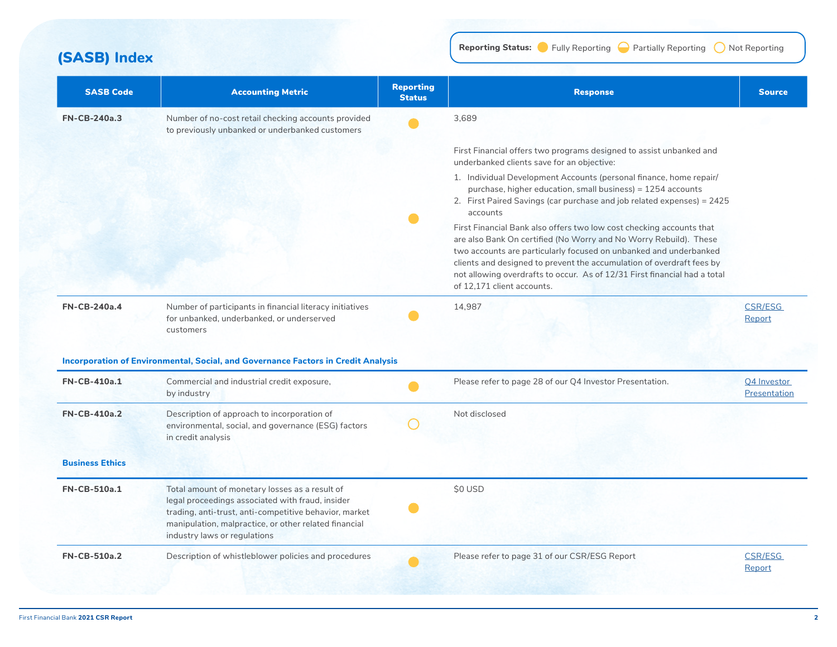**(SASB)** Index **Reporting Status:**  $\bullet$  Fully Reporting  $\bullet$  Partially Reporting  $\bullet$  Not Reporting

| <b>SASB Code</b>       | <b>Accounting Metric</b>                                                                                                                                                                                                                              | <b>Reporting</b><br><b>Status</b> | <b>Response</b>                                                                                                                                                                                                                                                                                                                                                                                    | <b>Source</b>               |
|------------------------|-------------------------------------------------------------------------------------------------------------------------------------------------------------------------------------------------------------------------------------------------------|-----------------------------------|----------------------------------------------------------------------------------------------------------------------------------------------------------------------------------------------------------------------------------------------------------------------------------------------------------------------------------------------------------------------------------------------------|-----------------------------|
| <b>FN-CB-240a.3</b>    | Number of no-cost retail checking accounts provided<br>to previously unbanked or underbanked customers                                                                                                                                                |                                   | 3.689                                                                                                                                                                                                                                                                                                                                                                                              |                             |
|                        |                                                                                                                                                                                                                                                       |                                   | First Financial offers two programs designed to assist unbanked and<br>underbanked clients save for an objective:                                                                                                                                                                                                                                                                                  |                             |
|                        |                                                                                                                                                                                                                                                       |                                   | 1. Individual Development Accounts (personal finance, home repair/<br>purchase, higher education, small business) = 1254 accounts<br>2. First Paired Savings (car purchase and job related expenses) = 2425<br>accounts                                                                                                                                                                            |                             |
|                        |                                                                                                                                                                                                                                                       |                                   | First Financial Bank also offers two low cost checking accounts that<br>are also Bank On certified (No Worry and No Worry Rebuild). These<br>two accounts are particularly focused on unbanked and underbanked<br>clients and designed to prevent the accumulation of overdraft fees by<br>not allowing overdrafts to occur. As of 12/31 First financial had a total<br>of 12.171 client accounts. |                             |
| <b>FN-CB-240a.4</b>    | Number of participants in financial literacy initiatives<br>for unbanked, underbanked, or underserved<br>customers                                                                                                                                    |                                   | 14,987                                                                                                                                                                                                                                                                                                                                                                                             | <b>CSR/ESG</b><br>Report    |
|                        | <b>Incorporation of Environmental, Social, and Governance Factors in Credit Analysis</b>                                                                                                                                                              |                                   |                                                                                                                                                                                                                                                                                                                                                                                                    |                             |
| <b>FN-CB-410a.1</b>    | Commercial and industrial credit exposure,<br>by industry                                                                                                                                                                                             |                                   | Please refer to page 28 of our Q4 Investor Presentation.                                                                                                                                                                                                                                                                                                                                           | Q4 Investor<br>Presentation |
| <b>FN-CB-410a.2</b>    | Description of approach to incorporation of<br>environmental, social, and governance (ESG) factors<br>in credit analysis                                                                                                                              |                                   | Not disclosed                                                                                                                                                                                                                                                                                                                                                                                      |                             |
| <b>Business Ethics</b> |                                                                                                                                                                                                                                                       |                                   |                                                                                                                                                                                                                                                                                                                                                                                                    |                             |
| <b>FN-CB-510a.1</b>    | Total amount of monetary losses as a result of<br>legal proceedings associated with fraud, insider<br>trading, anti-trust, anti-competitive behavior, market<br>manipulation, malpractice, or other related financial<br>industry laws or regulations |                                   | <b>SO USD</b>                                                                                                                                                                                                                                                                                                                                                                                      |                             |
| <b>FN-CB-510a.2</b>    | Description of whistleblower policies and procedures                                                                                                                                                                                                  |                                   | Please refer to page 31 of our CSR/ESG Report                                                                                                                                                                                                                                                                                                                                                      | <b>CSR/ESG</b><br>Report    |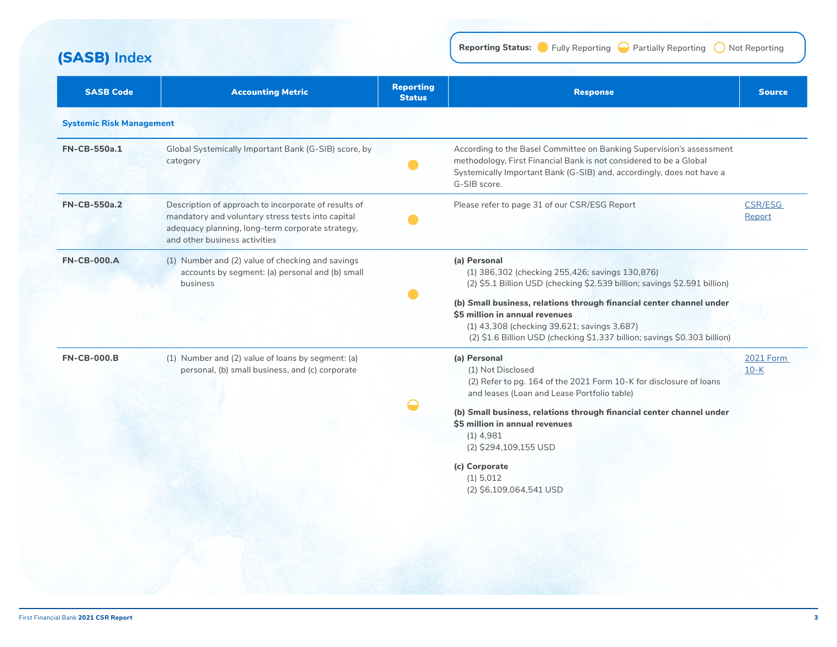**(SASB)** Index **Reporting Status:**  $\bullet$  Fully Reporting  $\bullet$  Partially Reporting  $\bullet$  Not Reporting

| <b>SASB Code</b>                | <b>Accounting Metric</b>                                                                                                                                                                       | <b>Reporting</b><br><b>Status</b> | <b>Response</b>                                                                                                                                                                                                                                                                                                                                                                    | <b>Source</b>              |
|---------------------------------|------------------------------------------------------------------------------------------------------------------------------------------------------------------------------------------------|-----------------------------------|------------------------------------------------------------------------------------------------------------------------------------------------------------------------------------------------------------------------------------------------------------------------------------------------------------------------------------------------------------------------------------|----------------------------|
| <b>Systemic Risk Management</b> |                                                                                                                                                                                                |                                   |                                                                                                                                                                                                                                                                                                                                                                                    |                            |
| FN-CB-550a.1                    | Global Systemically Important Bank (G-SIB) score, by<br>category                                                                                                                               |                                   | According to the Basel Committee on Banking Supervision's assessment<br>methodology, First Financial Bank is not considered to be a Global<br>Systemically Important Bank (G-SIB) and, accordingly, does not have a<br>G-SIB score.                                                                                                                                                |                            |
| <b>FN-CB-550a.2</b>             | Description of approach to incorporate of results of<br>mandatory and voluntary stress tests into capital<br>adequacy planning, long-term corporate strategy,<br>and other business activities |                                   | Please refer to page 31 of our CSR/ESG Report                                                                                                                                                                                                                                                                                                                                      | <b>CSR/ESG</b><br>Report   |
| <b>FN-CB-000.A</b>              | (1) Number and (2) value of checking and savings<br>accounts by segment: (a) personal and (b) small<br>business                                                                                |                                   | (a) Personal<br>(1) 386,302 (checking 255,426; savings 130,876)<br>(2) \$5.1 Billion USD (checking \$2.539 billion; savings \$2.591 billion)<br>(b) Small business, relations through financial center channel under<br>\$5 million in annual revenues<br>(1) 43,308 (checking 39,621; savings 3,687)<br>(2) \$1.6 Billion USD (checking \$1.337 billion; savings \$0.303 billion) |                            |
| <b>FN-CB-000.B</b>              | (1) Number and (2) value of loans by segment: (a)<br>personal, (b) small business, and (c) corporate                                                                                           |                                   | (a) Personal<br>(1) Not Disclosed<br>(2) Refer to pg. 164 of the 2021 Form 10-K for disclosure of loans<br>and leases (Loan and Lease Portfolio table)<br>(b) Small business, relations through financial center channel under<br>\$5 million in annual revenues<br>$(1)$ 4,981<br>(2) \$294,109,155 USD<br>(c) Corporate<br>(1) 5,012<br>(2) \$6,109,064,541 USD                  | <b>2021 Form</b><br>$10-K$ |
|                                 |                                                                                                                                                                                                |                                   |                                                                                                                                                                                                                                                                                                                                                                                    |                            |